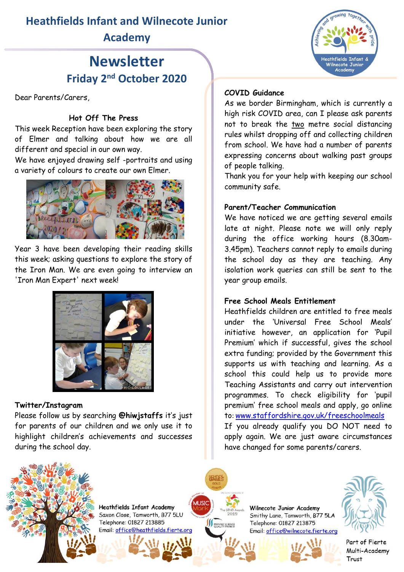## **Heathfields Infant and Wilnecote Junior Academy**

# **Newsletter Friday 2nd October 2020**

Dear Parents/Carers,

### **Hot Off The Press**

This week Reception have been exploring the story of Elmer and talking about how we are all different and special in our own way.

We have enjoyed drawing self -portraits and using a variety of colours to create our own Elmer.



Year 3 have been developing their reading skills this week; asking questions to explore the story of the Iron Man. We are even going to interview an 'Iron Man Expert' next week!



### **Twitter/Instagram**

Please follow us by searching **@hiwjstaffs** it's just for parents of our children and we only use it to highlight children's achievements and successes during the school day.



### **COVID Guidance**

As we border Birmingham, which is currently a high risk COVID area, can I please ask parents not to break the two metre social distancing rules whilst dropping off and collecting children from school. We have had a number of parents expressing concerns about walking past groups of people talking.

Thank you for your help with keeping our school community safe.

### **Parent/Teacher Communication**

We have noticed we are getting several emails late at night. Please note we will only reply during the office working hours (8.30am-3.45pm). Teachers cannot reply to emails during the school day as they are teaching. Any isolation work queries can still be sent to the year group emails.

### **Free School Meals Entitlement**

Heathfields children are entitled to free meals under the 'Universal Free School Meals' initiative however, an application for 'Pupil Premium' which if successful, gives the school extra funding; provided by the Government this supports us with teaching and learning. As a school this could help us to provide more Teaching Assistants and carry out intervention programmes. To check eligibility for 'pupil premium' free school meals and apply, go online to: [www.staffordshire.gov.uk/freeschoolmeals](http://www.staffordshire.gov.uk/freeschoolmeals) If you already qualify you DO NOT need to apply again. We are just aware circumstances have changed for some parents/carers.



**Heathfields Infant Academy** Saxon Close, Tamworth, B77 5LU Telephone: 01827 213885

**SERVICE AND SCIENCE** 

Wilnecote Junior Academy Smithy Lane, Tamworth, B77 5LA Telephone: 01827 213875 Email: office@wilnecote.fierte.org



Part of Fierte Multi-Academy Trust